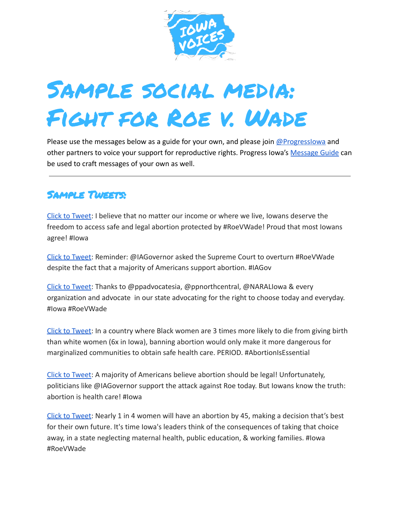

## Sample social media: Fight for Roe v. Wade

Please use the messages below as a guide for your own, and please join  $@$  Progresslowa and other partners to voice your support for reproductive rights. Progress Iowa's [Message Guide](https://progressiowa.org/wp-content/uploads/2022/05/Message-Guide_-Fight-for-Roe-v.-Wade-1.pdf) can be used to craft messages of your own as well.

## Sample Tweets:

[Click to Tweet:](https://progressiowa.actionkit.com/go/87071?t=7&ak_proof=1&akid=%2E153516%2EFrueY4) I believe that no matter our income or where we live, Iowans deserve the freedom to access safe and legal abortion protected by #RoeVWade! Proud that most Iowans agree! #Iowa

[Click to Tweet:](https://progressiowa.actionkit.com/go/87072?t=8&ak_proof=1&akid=%2E153516%2EFrueY4) Reminder: @IAGovernor asked the Supreme Court to overturn #RoeVWade despite the fact that a majority of Americans support abortion. #IAGov

[Click to Tweet:](https://ctt.ac/D611T) Thanks to @ppadvocatesia, @ppnorthcentral, @NARALIowa & every organization and advocate in our state advocating for the right to choose today and everyday. #Iowa #RoeVWade

[Click to Tweet:](https://ctt.ac/sz7eI) In a country where Black women are 3 times more likely to die from giving birth than white women (6x in Iowa), banning abortion would only make it more dangerous for marginalized communities to obtain safe health care. PERIOD. #AbortionIsEssential

[Click to Tweet:](https://ctt.ac/638s_) A majority of Americans believe abortion should be legal! Unfortunately, politicians like @IAGovernor support the attack against Roe today. But Iowans know the truth: abortion is health care! #Iowa

[Click to Tweet:](https://progressiowa.actionkit.com/go/87073?t=9&ak_proof=1&akid=%2E153516%2EFrueY4) Nearly 1 in 4 women will have an abortion by 45, making a decision that's best for their own future. It's time Iowa's leaders think of the consequences of taking that choice away, in a state neglecting maternal health, public education, & working families. #Iowa #RoeVWade